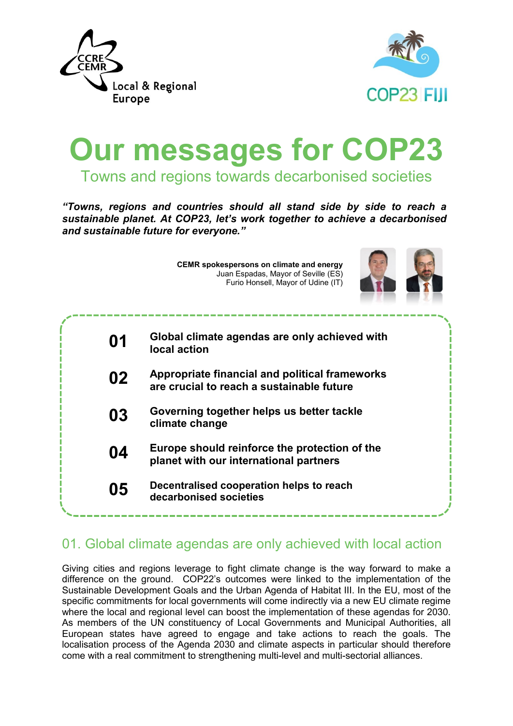



# **Our messages for COP23** Towns and regions towards decarbonised societies

*"Towns, regions and countries should all stand side by side to reach a sustainable planet. At COP23, let's work together to achieve a decarbonised and sustainable future for everyone."*

> **CEMR spokespersons on climate and energy** Juan Espadas, Mayor of Seville (ES) Furio Honsell, Mayor of Udine (IT)



| 01 | Global climate agendas are only achieved with<br>local action                               |
|----|---------------------------------------------------------------------------------------------|
| 02 | Appropriate financial and political frameworks<br>are crucial to reach a sustainable future |
| 03 | Governing together helps us better tackle<br>climate change                                 |
| 04 | Europe should reinforce the protection of the<br>planet with our international partners     |
| 05 | Decentralised cooperation helps to reach<br>decarbonised societies                          |
|    |                                                                                             |

## 01. Global climate agendas are only achieved with local action

Giving cities and regions leverage to fight climate change is the way forward to make a difference on the ground. COP22's outcomes were linked to the implementation of the Sustainable Development Goals and the Urban Agenda of Habitat III. In the EU, most of the specific commitments for local governments will come indirectly via a new EU climate regime where the local and regional level can boost the implementation of these agendas for 2030. As members of the UN constituency of Local Governments and Municipal Authorities, all European states have agreed to engage and take actions to reach the goals. The localisation process of the Agenda 2030 and climate aspects in particular should therefore come with a real commitment to strengthening multi-level and multi-sectorial alliances.